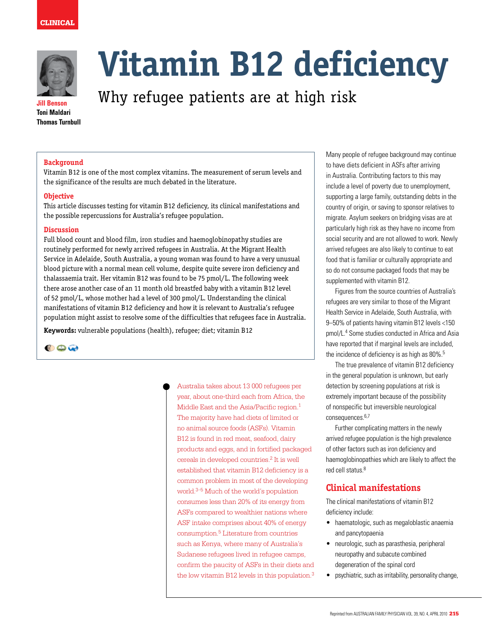



**Jill Benson Toni Maldari Thomas Turnbull**

# **Vitamin B12 deficiency**

# Why refugee patients are at high risk

#### **Background**

Vitamin B12 is one of the most complex vitamins. The measurement of serum levels and the significance of the results are much debated in the literature.

#### **Objective**

This article discusses testing for vitamin B12 deficiency, its clinical manifestations and the possible repercussions for Australia's refugee population.

#### **Discussion**

Full blood count and blood film, iron studies and haemoglobinopathy studies are routinely performed for newly arrived refugees in Australia. At the Migrant Health Service in Adelaide, South Australia, a young woman was found to have a very unusual blood picture with a normal mean cell volume, despite quite severe iron deficiency and thalassaemia trait. Her vitamin B12 was found to be 75 pmol/L. The following week there arose another case of an 11 month old breastfed baby with a vitamin B12 level of 52 pmol/L, whose mother had a level of 300 pmol/L. Understanding the clinical manifestations of vitamin B12 deficiency and how it is relevant to Australia's refugee population might assist to resolve some of the difficulties that refugees face in Australia.

**Keywords:** vulnerable populations (health), refugee; diet; vitamin B12



Australia takes about 13 000 refugees per year, about one-third each from Africa, the Middle East and the Asia/Pacific region.<sup>1</sup> The majority have had diets of limited or no animal source foods (ASFs). Vitamin B12 is found in red meat, seafood, dairy products and eggs, and in fortified packaged cereals in developed countries.2 It is well established that vitamin B12 deficiency is a common problem in most of the developing world.3–5 Much of the world's population consumes less than 20% of its energy from ASFs compared to wealthier nations where ASF intake comprises about 40% of energy consumption.5 Literature from countries such as Kenya, where many of Australia's Sudanese refugees lived in refugee camps, confirm the paucity of ASFs in their diets and the low vitamin B12 levels in this population.<sup>3</sup> Many people of refugee background may continue to have diets deficient in ASFs after arriving in Australia. Contributing factors to this may include a level of poverty due to unemployment, supporting a large family, outstanding debts in the country of origin, or saving to sponsor relatives to migrate. Asylum seekers on bridging visas are at particularly high risk as they have no income from social security and are not allowed to work. Newly arrived refugees are also likely to continue to eat food that is familiar or culturally appropriate and so do not consume packaged foods that may be supplemented with vitamin B12.

Figures from the source countries of Australia's refugees are very similar to those of the Migrant Health Service in Adelaide, South Australia, with 9–50% of patients having vitamin B12 levels <150 pmol/L.4 Some studies conducted in Africa and Asia have reported that if marginal levels are included, the incidence of deficiency is as high as 80%.<sup>5</sup>

The true prevalence of vitamin B12 deficiency in the general population is unknown, but early detection by screening populations at risk is extremely important because of the possibility of nonspecific but irreversible neurological consequences.<sup>6,7</sup>

Further complicating matters in the newly arrived refugee population is the high prevalence of other factors such as iron deficiency and haemoglobinopathies which are likely to affect the red cell status 8

# **Clinical manifestations**

The clinical manifestations of vitamin B12 deficiency include:

- • haematologic, such as megaloblastic anaemia and pancytopaenia
- • neurologic, such as parasthesia, peripheral neuropathy and subacute combined degeneration of the spinal cord
- psychiatric, such as irritability, personality change,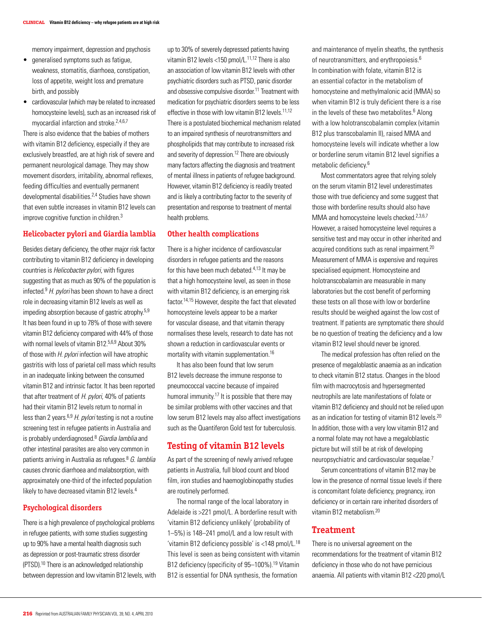memory impairment, depression and psychosis

- • generalised symptoms such as fatigue, weakness, stomatitis, diarrhoea, constipation, loss of appetite, weight loss and premature birth, and possibly
- cardiovascular (which may be related to increased homocysteine levels), such as an increased risk of myocardial infarction and stroke.2,4,6,7

There is also evidence that the babies of mothers with vitamin B12 deficiency, especially if they are exclusively breastfed, are at high risk of severe and permanent neurological damage. They may show movement disorders, irritability, abnormal reflexes, feeding difficulties and eventually permanent developmental disabilities.2,4 Studies have shown that even subtle increases in vitamin B12 levels can improve cognitive function in children.3

#### **Helicobacter pylori and Giardia lamblia**

Besides dietary deficiency, the other major risk factor contributing to vitamin B12 deficiency in developing countries is Helicobacter pylori, with figures suggesting that as much as 90% of the population is infected. $9$  H. pylori has been shown to have a direct role in decreasing vitamin B12 levels as well as impeding absorption because of gastric atrophy.5,9 It has been found in up to 78% of those with severe vitamin B12 deficiency compared with 44% of those with normal levels of vitamin B12.<sup>5,6,9</sup> About 30% of those with H. pylori infection will have atrophic gastritis with loss of parietal cell mass which results in an inadequate linking between the consumed vitamin B12 and intrinsic factor. It has been reported that after treatment of  $H.$  pylori, 40% of patients had their vitamin B12 levels return to normal in less than 2 years.<sup>6,9</sup> H. *pylori* testing is not a routine screening test in refugee patients in Australia and is probably underdiagnosed.<sup>8</sup> Giardia lamblia and other intestinal parasites are also very common in patients arriving in Australia as refugees.<sup>8</sup> G. lamblia causes chronic diarrhoea and malabsorption, with approximately one-third of the infected population likely to have decreased vitamin B12 levels.<sup>4</sup>

#### **Psychological disorders**

There is a high prevalence of psychological problems in refugee patients, with some studies suggesting up to 90% have a mental health diagnosis such as depression or post-traumatic stress disorder (PTSD).10 There is an acknowledged relationship between depression and low vitamin B12 levels, with up to 30% of severely depressed patients having vitamin B12 levels <150 pmol/L.<sup>11,12</sup> There is also an association of low vitamin B12 levels with other psychiatric disorders such as PTSD, panic disorder and obsessive compulsive disorder.11 Treatment with medication for psychiatric disorders seems to be less effective in those with low vitamin  $B12$  levels  $11,12$ There is a postulated biochemical mechanism related to an impaired synthesis of neurotransmitters and phospholipids that may contribute to increased risk and severity of depression.12 There are obviously many factors affecting the diagnosis and treatment of mental illness in patients of refugee background. However, vitamin B12 deficiency is readily treated and is likely a contributing factor to the severity of presentation and response to treatment of mental health problems.

#### **Other health complications**

There is a higher incidence of cardiovascular disorders in refugee patients and the reasons for this have been much debated.<sup>4,13</sup> It may be that a high homocysteine level, as seen in those with vitamin B12 deficiency, is an emerging risk factor.14,15 However, despite the fact that elevated homocysteine levels appear to be a marker for vascular disease, and that vitamin therapy normalises these levels, research to date has not shown a reduction in cardiovascular events or mortality with vitamin supplementation.16

 It has also been found that low serum B12 levels decrease the immune response to pneumococcal vaccine because of impaired humoral immunity.<sup>17</sup> It is possible that there may be similar problems with other vaccines and that low serum B12 levels may also affect investigations such as the Quantiferon Gold test for tuberculosis.

### **Testing of vitamin B12 levels**

As part of the screening of newly arrived refugee patients in Australia, full blood count and blood film, iron studies and haemoglobinopathy studies are routinely performed.

The normal range of the local laboratory in Adelaide is >221 pmol/L. A borderline result with 'vitamin B12 deficiency unlikely' (probability of 1–5%) is 148–241 pmol/L and a low result with 'vitamin B12 deficiency possible' is <148 pmol/L.18 This level is seen as being consistent with vitamin B12 deficiency (specificity of 95-100%).<sup>19</sup> Vitamin B12 is essential for DNA synthesis, the formation

and maintenance of myelin sheaths, the synthesis of neurotransmitters, and erythropoiesis.<sup>6</sup> In combination with folate, vitamin B12 is an essential cofactor in the metabolism of homocysteine and methylmalonic acid (MMA) so when vitamin B12 is truly deficient there is a rise in the levels of these two metabolites.<sup>6</sup> Along with a low holotranscobalamin complex (vitamin B12 plus transcobalamin II), raised MMA and homocysteine levels will indicate whether a low or borderline serum vitamin B12 level signifies a metabolic deficiency.6

Most commentators agree that relying solely on the serum vitamin B12 level underestimates those with true deficiency and some suggest that those with borderline results should also have MMA and homocysteine levels checked.<sup>2,3,6,7</sup> However, a raised homocysteine level requires a sensitive test and may occur in other inherited and acquired conditions such as renal impairment.20 Measurement of MMA is expensive and requires specialised equipment. Homocysteine and holotranscobalamin are measurable in many laboratories but the cost benefit of performing these tests on all those with low or borderline results should be weighed against the low cost of treatment. If patients are symptomatic there should be no question of treating the deficiency and a low vitamin B12 level should never be ignored.

The medical profession has often relied on the presence of megaloblastic anaemia as an indication to check vitamin B12 status. Changes in the blood film with macrocytosis and hypersegmented neutrophils are late manifestations of folate or vitamin B12 deficiency and should not be relied upon as an indication for testing of vitamin B12 levels.<sup>20</sup> In addition, those with a very low vitamin B12 and a normal folate may not have a megaloblastic picture but will still be at risk of developing neuropsychiatric and cardiovascular sequelae.7

Serum concentrations of vitamin B12 may be low in the presence of normal tissue levels if there is concomitant folate deficiency, pregnancy, iron deficiency or in certain rare inherited disorders of vitamin B12 metabolism.20

#### **Treatment**

There is no universal agreement on the recommendations for the treatment of vitamin B12 deficiency in those who do not have pernicious anaemia. All patients with vitamin B12 <220 pmol/L